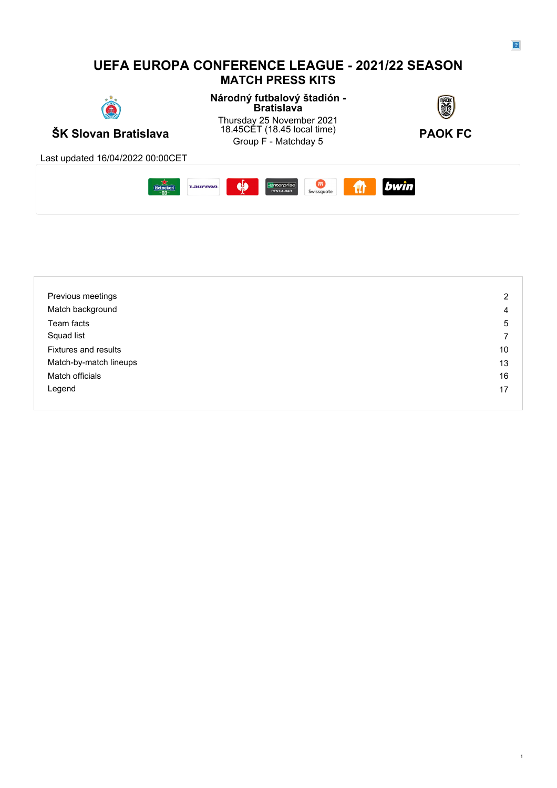## **UEFA EUROPA CONFERENCE LEAGUE - 2021/22 SEASON MATCH PRESS KITS**



**Národný futbalový štadión - Bratislava**



**ŠK Slovan Bratislava** 18.45CET (18.45 local time) **PAOK FC**<br>Group F - Matchday 5 Thursday 25 November 2021 18.45CET (18.45 local time)  $\blacksquare$ 45CET (18.45 local time) **PAOK FC**<br>Group F - Matchday 5



Last updated 16/04/2022 00:00CET



| Previous meetings           | $\overline{2}$ |
|-----------------------------|----------------|
| Match background            | 4              |
| Team facts                  | 5              |
| Squad list                  |                |
| <b>Fixtures and results</b> | 10             |
| Match-by-match lineups      | 13             |
| Match officials             | 16             |
| Legend                      | 17             |
|                             |                |

1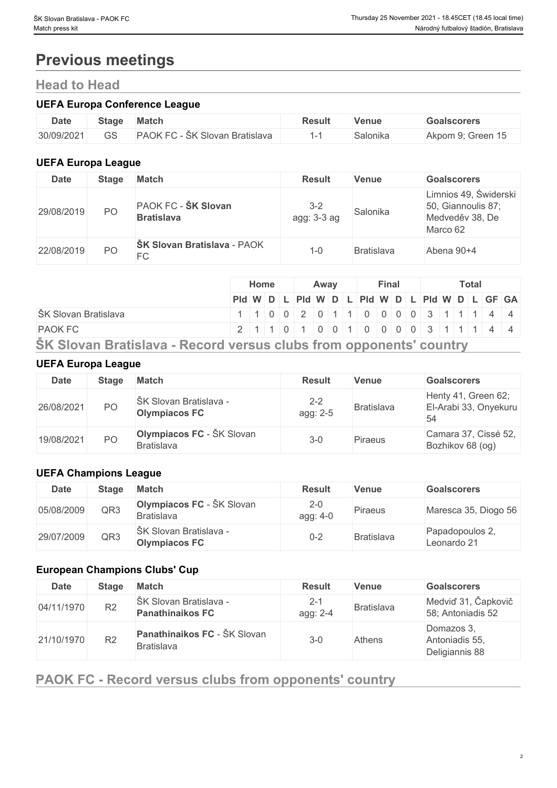# **Previous meetings**

## **Head to Head**

## **UEFA Europa Conference League**

| <b>Date</b> | <b>Stage</b> | Match                                       | Result | Venue    | Goalscorers       |
|-------------|--------------|---------------------------------------------|--------|----------|-------------------|
| 30/09/2021  | $\cap$<br>JU | <b>PAOK FC</b><br>rC - ŠK Slovan Bratislava |        | Salonika | Akpom 9; Green 15 |

## **UEFA Europa League**

| <b>Date</b> | <b>Stage</b>   | <b>Match</b>                             | <b>Result</b>          | <b>Venue</b>      | <b>Goalscorers</b>                                                         |
|-------------|----------------|------------------------------------------|------------------------|-------------------|----------------------------------------------------------------------------|
| 29/08/2019  | P <sub>O</sub> | PAOK FC - ŠK Slovan<br><b>Bratislava</b> | $3 - 2$<br>agg: 3-3 ag | Salonika          | Limnios 49, Świderski<br>50, Giannoulis 87;<br>Medveděv 38, De<br>Marco 62 |
| 22/08/2019  | P <sub>O</sub> | <b>ŠK Slovan Bratislava - PAOK</b><br>FC | 1-0                    | <b>Bratislava</b> | Abena 90+4                                                                 |

|                                                                    | Home |  |  |  |  | Away |  |  |  |  | Final | <b>Total</b> |  |  |                                         |  |  |  |  |
|--------------------------------------------------------------------|------|--|--|--|--|------|--|--|--|--|-------|--------------|--|--|-----------------------------------------|--|--|--|--|
|                                                                    |      |  |  |  |  |      |  |  |  |  |       |              |  |  | PId WDLPId WDLPId WDLPId WDLPId WDLGFGA |  |  |  |  |
| ŠK Slovan Bratislava                                               |      |  |  |  |  |      |  |  |  |  |       |              |  |  | 1 0 0 2 0 1 1 0 0 0 0 3 1 1 1 4 4       |  |  |  |  |
| <b>PAOK FC</b>                                                     |      |  |  |  |  |      |  |  |  |  |       |              |  |  |                                         |  |  |  |  |
| SK Slovan Bratislava - Record versus clubs from opponents' country |      |  |  |  |  |      |  |  |  |  |       |              |  |  |                                         |  |  |  |  |

## **UEFA Europa League**

| Date       | <b>Stage</b> | <b>Match</b>                                          | <b>Result</b>       | <b>Venue</b>      | <b>Goalscorers</b>                                 |
|------------|--------------|-------------------------------------------------------|---------------------|-------------------|----------------------------------------------------|
| 26/08/2021 | PO           | ŠK Slovan Bratislava -<br><b>Olympiacos FC</b>        | $2 - 2$<br>agg: 2-5 | <b>Bratislava</b> | Henty 41, Green 62;<br>El-Arabi 33, Onyekuru<br>54 |
| 19/08/2021 | PO           | <b>Olympiacos FC</b> - ŠK Slovan<br><b>Bratislava</b> | $3 - 0$             | <b>Piraeus</b>    | Camara 37, Cissé 52,<br>Bozhikov 68 (og)           |

## **UEFA Champions League**

| Date       | <b>Stage</b> | <b>Match</b>                                          | <b>Result</b>       | <b>Venue</b>      | <b>Goalscorers</b>             |
|------------|--------------|-------------------------------------------------------|---------------------|-------------------|--------------------------------|
| 05/08/2009 | QR3          | <b>Olympiacos FC</b> - ŠK Slovan<br><b>Bratislava</b> | $2 - 0$<br>agg: 4-0 | Piraeus           | Maresca 35, Diogo 56           |
| 29/07/2009 | QR3          | ŠK Slovan Bratislava -<br><b>Olympiacos FC</b>        | $0 - 2$             | <b>Bratislava</b> | Papadopoulos 2,<br>Leonardo 21 |

## **European Champions Clubs' Cup**

| <b>Date</b> | <b>Stage</b>   | <b>Match</b>                                      | <b>Result</b>       | <b>Venue</b> | <b>Goalscorers</b>                             |
|-------------|----------------|---------------------------------------------------|---------------------|--------------|------------------------------------------------|
| 04/11/1970  | R <sub>2</sub> | ŠK Slovan Bratislava -<br><b>Panathinaikos FC</b> | $2 - 1$<br>agg: 2-4 | Bratislava   | Medviď 31, Čapkovič<br>58; Antoniadis 52       |
| 21/10/1970  | R <sub>2</sub> | Panathinaikos FC - ŠK Slovan<br><b>Bratislava</b> | $3 - 0$             | Athens       | Domazos 3,<br>Antoniadis 55,<br>Deligiannis 88 |

## **PAOK FC - Record versus clubs from opponents' country**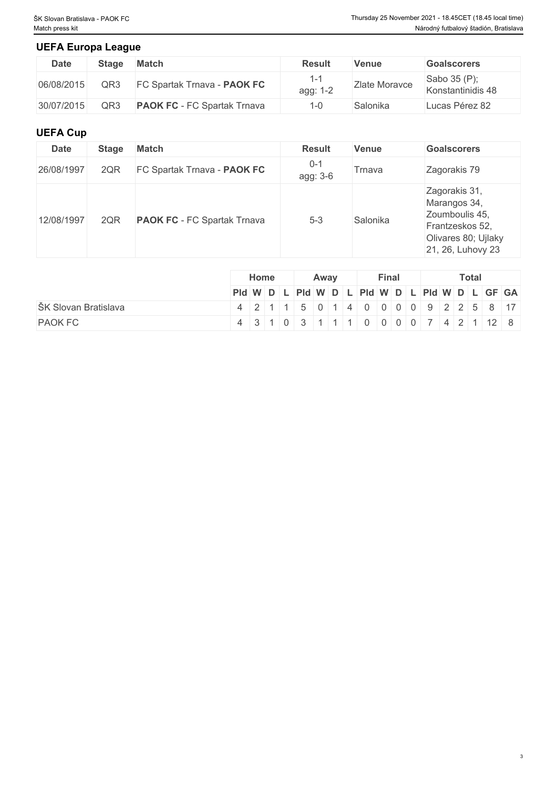## **UEFA Europa League**

| Date       | Stage | <b>Match</b>                       | <b>Result</b> | <b>Venue</b>  | <b>Goalscorers</b>                |
|------------|-------|------------------------------------|---------------|---------------|-----------------------------------|
| 06/08/2015 | QR3   | FC Spartak Trnava - PAOK FC        | agg: 1-2      | Zlate Moravce | Sabo 35 (P);<br>Konstantinidis 48 |
| 30/07/2015 | QR3   | <b>PAOK FC</b> - FC Spartak Trnava |               | Salonika      | Lucas Pérez 82                    |

## **UEFA Cup**

| <b>Date</b> | <b>Stage</b> | <b>Match</b>                       | <b>Result</b>       | <b>Venue</b> | <b>Goalscorers</b>                                                                                             |
|-------------|--------------|------------------------------------|---------------------|--------------|----------------------------------------------------------------------------------------------------------------|
| 26/08/1997  | 2QR          | FC Spartak Trnava - PAOK FC        | $0 - 1$<br>agg: 3-6 | Trnava       | Zagorakis 79                                                                                                   |
| 12/08/1997  | 2QR          | <b>PAOK FC</b> - FC Spartak Trnava | $5 - 3$             | Salonika     | Zagorakis 31,<br>Marangos 34,<br>Zoumboulis 45,<br>Frantzeskos 52,<br>Olivares 80; Ujlaky<br>21, 26, Luhovy 23 |

|                      | Home                                          |  | Away |  | Final |  | <b>Total</b> |  |  |
|----------------------|-----------------------------------------------|--|------|--|-------|--|--------------|--|--|
|                      | Pid W D L Pid W D L Pid W D L Pid W D L GF GA |  |      |  |       |  |              |  |  |
| ŠK Slovan Bratislava | 4 2 1 1 5 0 1 4 0 0 0 0 9 2 2 5 8 17          |  |      |  |       |  |              |  |  |
| <b>PAOK FC</b>       | 4 3 1 0 3 1 1 1 1 0 0 0 0 0 7 4 2 1 1 2 8     |  |      |  |       |  |              |  |  |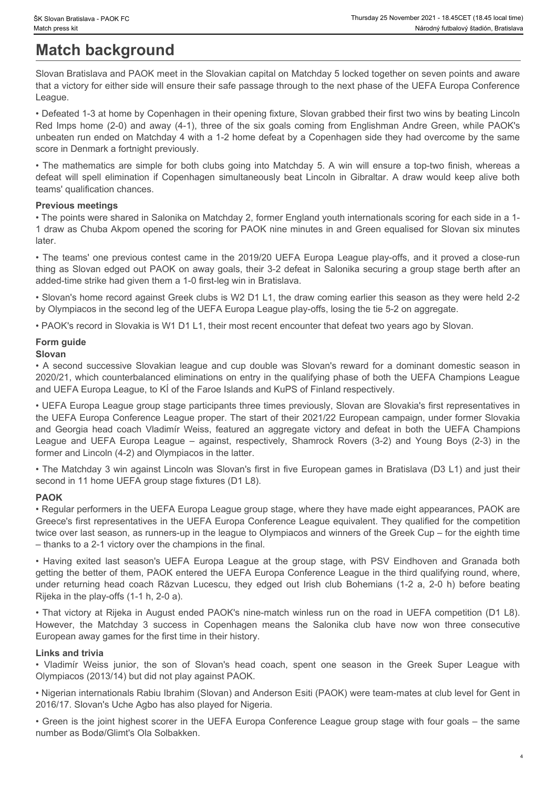# **Match background**

Slovan Bratislava and PAOK meet in the Slovakian capital on Matchday 5 locked together on seven points and aware that a victory for either side will ensure their safe passage through to the next phase of the UEFA Europa Conference League.

• Defeated 1-3 at home by Copenhagen in their opening fixture, Slovan grabbed their first two wins by beating Lincoln Red Imps home (2-0) and away (4-1), three of the six goals coming from Englishman Andre Green, while PAOK's unbeaten run ended on Matchday 4 with a 1-2 home defeat by a Copenhagen side they had overcome by the same score in Denmark a fortnight previously. St Sloven Beatlstone - PAOK FC<br>
Match background<br>
Match background<br>
Slovan Bratislava and PAOK meet in the Slovakian capital on Matchday 5 locked together on seven points and aware<br>
that a victory for either side will ensu

• The mathematics are simple for both clubs going into Matchday 5. A win will ensure a top-two finish, whereas a teams' qualification chances.

## **Previous meetings**

• The points were shared in Salonika on Matchday 2, former England youth internationals scoring for each side in a 1- 1 draw as Chuba Akpom opened the scoring for PAOK nine minutes in and Green equalised for Slovan six minutes later.

• The teams' one previous contest came in the 2019/20 UEFA Europa League play-offs, and it proved a close-run thing as Slovan edged out PAOK on away goals, their 3-2 defeat in Salonika securing a group stage berth after an added-time strike had given them a 1-0 first-leg win in Bratislava.

• Slovan's home record against Greek clubs is W2 D1 L1, the draw coming earlier this season as they were held 2-2 by Olympiacos in the second leg of the UEFA Europa League play-offs, losing the tie 5-2 on aggregate.

• PAOK's record in Slovakia is W1 D1 L1, their most recent encounter that defeat two years ago by Slovan.

# **Form guide**

## **Slovan**

2020/21, which counterbalanced eliminations on entry in the qualifying phase of both the UEFA Champions League and UEFA Europa League, to KÍ of the Faroe Islands and KuPS of Finland respectively.

**Example 19 and the most constrained successive Shares and Machine Slovakian league and Machine Slovakian and PAOK from British and RAOK from British and RAOK from British and RAOK from British and RAOK from the site and S** • UEFA Europa League group stage participants three times previously, Slovan are Slovakia's first representatives in the UEFA Europa Conference League proper. The start of their 2021/22 European campaign, under former Slovakia and the method is a control of the UEFA Company and the UEFA coach victory and the UEFA Champion and the UEFA Champions and the UEFA Champions and wich the UEFA Champions and the UEFA Champions and the UEFA Champions and t League and Maximum Maximum – three yearns and Control in Social Computer and Maximum maximum maximum maximum maximum maximum maximum maximum maximum maximum maximum maximum maximum maximum maximum maximum maximum maximum m former and Lincoln (4-2) and Olympiacos in the latter. • Defining 14 a three by Coperation in their coefing fisture. Clocon gradient the first two withs by besting the comparison to the fining fisture in the gradient in the group stage, with present the group stage of the gran unitarian unit of the cost of the state of the returning out the mean control in the control in the control in the control in the control in the control in the returning head control in the control in the returning that th detect will example a Row the Matchday 2 success in Copenhagen and Copenhagen into the Matchday 3 success in Copenhagen and Copenhagen and Copenhagen simulations in Copenhagen and Copenhagen and Copenhagen and Copenhagen a • The Machine the solution is although on Malerial of Derme England youth internationals control the rank of the son of Slovan's minimizeries on the son of Slovan's head collection. The team one previous contest came in th

• The Matchday 3 win against Lincoln was Slovan's first in five European games in Bratislava (D3 L1) and just their second in 11 home UEFA group stage fixtures (D1 L8).

## **PAOK**

• Regular performers in the UEFA Europa League group stage, where they have made eight appearances, PAOK are Greece's first representatives in the UEFA Europa Conference League equivalent. They qualified for the competition twice over last season, as runners-up in the league to Olympiacos and winners of the Greek Cup – for the eighth time – thanks to a 2-1 victory over the champions in the final.

getting the better of them, PAOK entered the UEFA Europa Conference League in the third qualifying round, where, Rijeka in the play-offs (1-1 h, 2-0 a).

• That victory at Rijeka in August ended PAOK's nine-match winless run on the road in UEFA competition (D1 L8). European away games for the first time in their history.

## **Links and trivia**

Olympiacos (2013/14) but did not play against PAOK.

• Nigerian internationals Rabiu Ibrahim (Slovan) and Anderson Esiti (PAOK) were team-mates at club level for Gent in 2016/17. Slovan's Uche Agbo has also played for Nigeria.

• Green is the joint highest scorer in the UEFA Europa Conference League group stage with four goals – the same number as Bodø/Glimt's Ola Solbakken.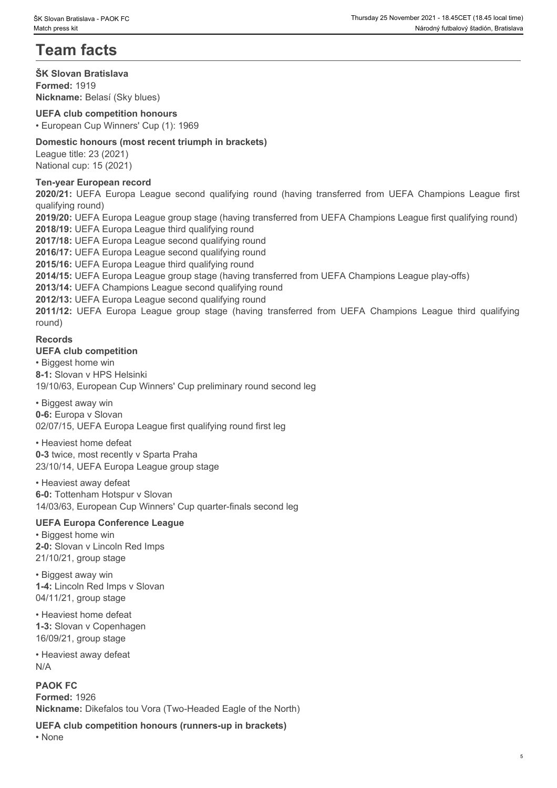# **Team facts**

**ŠK Slovan Bratislava Formed:** 1919 **Nickname:** Belasí (Sky blues)

## **UEFA club competition honours**

• European Cup Winners' Cup (1): 1969

## **Domestic honours (most recent triumph in brackets)**

League title: 23 (2021) National cup: 15 (2021)

### **Ten-year European record**

qualifying round)

**2020/21: UEFA Europa League second qualifying round<br>2020/2020 PM UEFA Champions Contained Material Mechanisms (Material Mechanisms Material Mechanisms League file<br>2020/21: UEFA European Cup Winners' Cup (1): 1969<br>Demestic 2019/20:** UEFA Europa League group stage (having transferred from UEFA Champions League first qualifying round) **2018/19:** UEFA Europa League third qualifying round **2012/12:** UEFA Europa League group stage (having transferred from UEFA Champions League finite developed the Biggest (Sky blues)<br> **2012**<br> **2012**<br> **2012**<br> **2012**<br> **2012**<br> **2012**<br> **2012**<br> **2012**<br> **2012**<br> **2012**<br> **2012**<br> **20** 

**2017/18:** UEFA Europa League second qualifying round

**2016/17:** UEFA Europa League second qualifying round

**2015/16:** UEFA Europa League third qualifying round

**2014/15:** UEFA Europa League group stage (having transferred from UEFA Champions League play-offs)

**2013/14:** UEFA Champions League second qualifying round

### **2012/13:** UEFA Europa League second qualifying round

round)

## **Records**

### **UEFA club competition**

• Biggest home win **8-1:** Slovan v HPS Helsinki 19/10/63, European Cup Winners' Cup preliminary round second leg

#### • Biggest away win

**0-6:** Europa v Slovan 02/07/15, UEFA Europa League first qualifying round first leg

#### • Heaviest home defeat

**0-3** twice, most recently v Sparta Praha 23/10/14, UEFA Europa League group stage

#### • Heaviest away defeat

**6-0:** Tottenham Hotspur v Slovan 14/03/63, European Cup Winners' Cup quarter-finals second leg

#### **UEFA Europa Conference League**

• Biggest home win **2-0:** Slovan v Lincoln Red Imps 21/10/21, group stage

• Biggest away win **1-4:** Lincoln Red Imps v Slovan 04/11/21, group stage

• Heaviest home defeat **1-3:** Slovan v Copenhagen 16/09/21, group stage

• Heaviest away defeat N/A

**PAOK FC Formed:** 1926 **Nickname:** Dikefalos tou Vora (Two-Headed Eagle of the North)

**UEFA club competition honours (runners-up in brackets)** • None **blue** and **blue** and **blue** and **blue** and **blue** and **blue** and **blue** and **blue** and **blue** and **blue** and **blue** and **blue** and **blue** and **blue** and **blue** and **blue** and **blue** and **blue** and **blue** and **blue**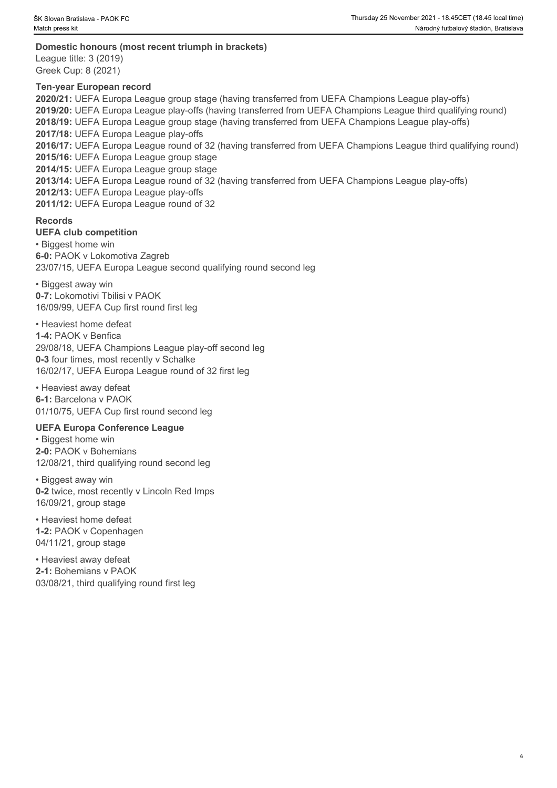## **Domestic honours (most recent triumph in brackets)**

League title: 3 (2019) Greek Cup: 8 (2021)

#### **Ten-year European record**

**2020/21:** UEFA Europa League group stage (having transferred from UEFA Champions League play-offs) **2019/20:** UEFA Europa League play-offs (having transferred from UEFA Champions League third qualifying round) **2018/19:** UEFA Europa League group stage (having transferred from UEFA Champions League play-offs) **2017/18:** UEFA Europa League play-offs **2016/17:** UEFA Europa League round of 32 (having transferred from UEFA Champions League third qualifying round) **2015/16:** UEFA Europa League group stage **2014/15:** UEFA Europa League group stage **2013/14:** UEFA Europa League round of 32 (having transferred from UEFA Champions League play-offs) **2012/13:** UEFA Europa League play-offs **2011/12:** UEFA Europa League round of 32

## **Records**

**UEFA club competition** 

• Biggest home win **6-0:** PAOK v Lokomotiva Zagreb 23/07/15, UEFA Europa League second qualifying round second leg

• Biggest away win **0-7:** Lokomotivi Tbilisi v PAOK 16/09/99, UEFA Cup first round first leg

• Heaviest home defeat **1-4:** PAOK v Benfica 29/08/18, UEFA Champions League play-off second leg **0-3** four times, most recently v Schalke 16/02/17, UEFA Europa League round of 32 first leg

• Heaviest away defeat **6-1:** Barcelona v PAOK 01/10/75, UEFA Cup first round second leg

#### **UEFA Europa Conference League**

• Biggest home win **2-0:** PAOK v Bohemians 12/08/21, third qualifying round second leg

• Biggest away win **0-2** twice, most recently v Lincoln Red Imps 16/09/21, group stage

• Heaviest home defeat **1-2:** PAOK v Copenhagen 04/11/21, group stage

• Heaviest away defeat **2-1:** Bohemians v PAOK 03/08/21, third qualifying round first leg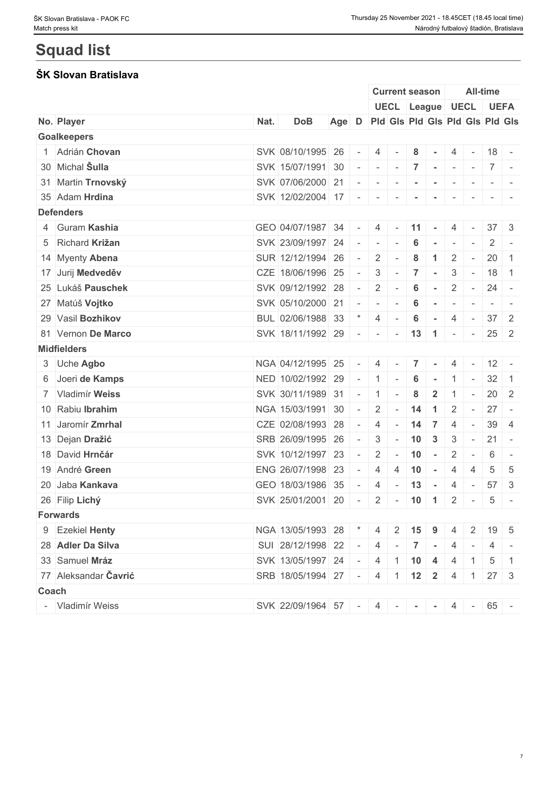# **Squad list**

## **ŠK Slovan Bratislava**

|                      |      |                                      |       |                                         | <b>Current season</b>           |                          |                                  |                      |                                 |                          | <b>All-time</b>       |                                                                                   |
|----------------------|------|--------------------------------------|-------|-----------------------------------------|---------------------------------|--------------------------|----------------------------------|----------------------|---------------------------------|--------------------------|-----------------------|-----------------------------------------------------------------------------------|
|                      |      |                                      |       |                                         |                                 |                          |                                  |                      |                                 |                          | UECL League UECL UEFA |                                                                                   |
| No. Player           | Nat. | <b>DoB</b>                           | Age D |                                         | Pid Gis Pid Gis Pid Gis Pid Gis |                          |                                  |                      |                                 |                          |                       |                                                                                   |
| <b>Goalkeepers</b>   |      |                                      |       |                                         |                                 |                          |                                  |                      |                                 |                          |                       |                                                                                   |
| 1 Adrián Chovan      |      | SVK 08/10/1995 26                    |       | $\vert \cdot \vert = \vert \cdot \vert$ | 4                               | $\sim$                   | 8                                |                      | 4                               |                          | $18 -$                |                                                                                   |
| 30 Michal Sulla      |      | SVK 15/07/1991 30                    |       | $\sim$                                  | $\sim$                          |                          | $-7$                             |                      | $\mathbb{R}^n \to \mathbb{R}^n$ | $\sim$                   | $7 -$                 |                                                                                   |
| 31 Martin Trnovský   |      | SVK 07/06/2000 21                    |       |                                         | $1 - 1 - 1 - 1$                 |                          |                                  |                      |                                 |                          |                       |                                                                                   |
| 35 Adam Hrdina       |      | SVK 12/02/2004 17 - - - -            |       |                                         |                                 |                          |                                  | $\sim$               | $\sim$                          |                          |                       |                                                                                   |
| <b>Defenders</b>     |      |                                      |       |                                         |                                 |                          |                                  |                      |                                 |                          |                       |                                                                                   |
| 4 Guram Kashia       |      | GEO 04/07/1987 34                    |       | $\sim$                                  | 4                               | $\sim$                   | 11                               |                      | 4                               |                          | $37 \quad 3$          |                                                                                   |
| 5 Richard Križan     |      | SVK 23/09/1997 24                    |       | $\overline{\phantom{a}}$                | $\overline{\phantom{a}}$        |                          | 6                                |                      |                                 |                          | 2                     |                                                                                   |
| 14 Myenty Abena      |      | SUR 12/12/1994 26                    |       | $\overline{\phantom{a}}$                | 2                               |                          | 8                                | $\blacktriangleleft$ | 2                               | $\sim$                   | $20 \mid 1$           |                                                                                   |
| 17 Jurij Medveděv    |      | CZE 18/06/1996 25                    |       | $\sim$                                  | 3                               | $\sim$                   | 7                                | $\sim$               | 3                               | $\sim$                   | $18$ 1                |                                                                                   |
| 25 Lukáš Pauschek    |      | SVK 09/12/1992 28                    |       | $\sim$ $-$                              | $\overline{2}$                  | $\sim$                   | 6                                | $\sim$               | 2                               | $\sim$                   | $24 -$                |                                                                                   |
| 27 Matúš Vojtko      |      | SVK 05/10/2000 21                    |       | $\sim$                                  | $\sim$                          |                          | 6                                | $\sim$               | $\overline{\phantom{a}}$        |                          |                       | $\frac{1}{2} \left( \frac{1}{2} \right) \left( \frac{1}{2} \right) = \frac{1}{2}$ |
| 29 Vasil Bozhikov    |      | BUL 02/06/1988 33                    |       |                                         | 4                               |                          | 6                                | $\sim$               | $\overline{4}$                  | $\sim$                   | $37 \mid 2$           |                                                                                   |
| 81 Vernon De Marco   |      | SVK 18/11/1992 29                    |       | $\sim$ $ \sim$                          | $\sim$ $-$                      | $\sim$                   | $13 \quad 1$                     |                      | $\sim$                          | $\sim$                   | $25 \quad 2$          |                                                                                   |
| <b>Midfielders</b>   |      |                                      |       |                                         |                                 |                          |                                  |                      |                                 |                          |                       |                                                                                   |
| 3 Uche Agbo          |      | NGA 04/12/1995 25                    |       | $\sim$                                  | 4                               |                          | $\overline{7}$                   |                      | 4                               |                          | $12 -$                |                                                                                   |
| 6 Joeri de Kamps     |      | NED 10/02/1992 29                    |       | $\sim$ $-$                              | $\vert$ 1                       | $\sim$                   | 6                                | $\sim$               |                                 |                          | $32 \mid 1$           |                                                                                   |
| 7 Vladimír Weiss     |      | SVK 30/11/1989 31                    |       | $\mathbf{I}$                            | $\vert$ 1                       | $\sim$                   | 8                                | $\mathbf{2}$         | $\overline{1}$                  | $\sim$                   | $20 \quad 2$          |                                                                                   |
| 10 Rabiu Ibrahim     |      | NGA 15/03/1991 30                    |       | $\overline{\phantom{a}}$                | 2                               | $\sim$                   | 14                               | $\overline{1}$       | 2                               | $\sim$                   | $27 -$                |                                                                                   |
| 11 Jaromír Zmrhal    |      | CZE 02/08/1993 28                    |       | $\sim$                                  | 4                               | $\sim$                   | 14                               | $\overline{7}$       | $\overline{4}$                  | $\sim$                   | $39 \mid 4$           |                                                                                   |
| 13 Dejan Dražić      |      | SRB 26/09/1995 26                    |       | $\sim$ $-$                              | 3                               | $\sim$                   | $10 \overline{\smash{\big)}\ 3}$ |                      | $\mathbf{3}$                    | $\sim$                   | $21 -$                |                                                                                   |
| 18 David Hrnčár      |      | SVK 10/12/1997 23                    |       | $\overline{\phantom{a}}$                | $\overline{2}$                  | $\overline{\phantom{a}}$ | 10                               | $\sim$               | 2                               |                          | 6                     | $\sim$                                                                            |
| 19 André Green       |      | ENG 26/07/1998 23                    |       | $\overline{\phantom{a}}$                | 4                               | 4                        | 10                               | $\sim$               | $\overline{4}$                  | $\overline{4}$           | $5\phantom{.0}$       | 5                                                                                 |
| 20 Jaba Kankava      |      | GEO 18/03/1986 35                    |       | $\overline{a}$                          | 4                               | $\sim$                   | 13                               | $\sim$               | $\overline{4}$                  | $\sim$                   | 57                    | $\mathbf{3}$                                                                      |
| 26 Filip Lichý       |      | SVK 25/01/2001 20                    |       | $\overline{\phantom{a}}$                | $\overline{2}$                  |                          | $-10$ 1                          |                      | $\overline{2}$                  | $\overline{\phantom{a}}$ | 5                     | $\overline{\phantom{a}}$                                                          |
| <b>Forwards</b>      |      |                                      |       |                                         |                                 |                          |                                  |                      |                                 |                          |                       |                                                                                   |
| 9 Ezekiel Henty      |      | NGA 13/05/1993 28 * 4 2 15 9         |       |                                         |                                 |                          |                                  |                      | 4                               | $\mathbf{2}$             | $19 \mid 5$           |                                                                                   |
| 28 Adler Da Silva    |      | SUI 28/12/1998 22 - 4 - 7 -          |       |                                         |                                 |                          |                                  |                      | $\overline{4}$                  |                          | 4                     |                                                                                   |
| 33 Samuel Mráz       |      |                                      |       |                                         |                                 |                          |                                  |                      |                                 |                          |                       | $\overline{1}$                                                                    |
| 77 Aleksandar Čavrić |      | SVK 13/05/1997 24 -                  |       |                                         | $4 \mid 1 \mid 10 \mid 4$       |                          |                                  |                      | -4                              |                          | 5                     |                                                                                   |
|                      |      | SRB 18/05/1994 27 - 4 1 12 2         |       |                                         |                                 |                          |                                  |                      | 4                               | $\vert$ 1                | $27 \quad 3$          |                                                                                   |
| Coach                |      |                                      |       |                                         |                                 |                          |                                  |                      |                                 |                          |                       |                                                                                   |
| - Vladimír Weiss     |      | SVK 22/09/1964 57 - 4 - - - 4 - 65 - |       |                                         |                                 |                          |                                  |                      |                                 |                          |                       |                                                                                   |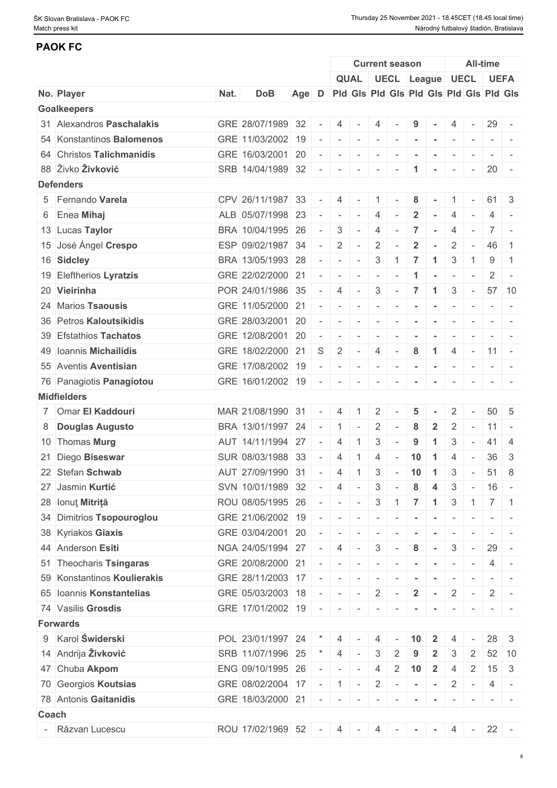## **PAOK FC**

|       |                             |      |                         |       |                          |                          |                          |                          | <b>Current season</b>    |                |                                         |                          |                          | All-time          |                |
|-------|-----------------------------|------|-------------------------|-------|--------------------------|--------------------------|--------------------------|--------------------------|--------------------------|----------------|-----------------------------------------|--------------------------|--------------------------|-------------------|----------------|
|       |                             |      |                         |       |                          |                          |                          |                          |                          |                | QUAL UECL League UECL                   |                          |                          | <b>UEFA</b>       |                |
|       | No. Player                  | Nat. | <b>DoB</b>              | Age D |                          |                          |                          |                          |                          |                | Pid Gis Pid Gis Pid Gis Pid Gis Pid Gis |                          |                          |                   |                |
|       | <b>Goalkeepers</b>          |      |                         |       |                          |                          |                          |                          |                          |                |                                         |                          |                          |                   |                |
|       | 31 Alexandros Paschalakis   |      | GRE 28/07/1989 32       |       |                          | $\overline{4}$           |                          | $\overline{4}$           |                          | 9              |                                         | $\overline{4}$           | $\sim$                   | 29                |                |
|       | 54 Konstantinos Balomenos   |      | GRE 11/03/2002 19       |       |                          | $\sim$                   | $\sim$                   | $\sim$                   | $\sim$                   | $\sim$         | $\sim$                                  | $\sim$                   |                          |                   |                |
|       | 64 Christos Talichmanidis   |      | GRE 16/03/2001 20       |       |                          |                          |                          | $\overline{\phantom{a}}$ |                          |                |                                         |                          |                          |                   |                |
|       | 88 Živko Živković           |      | SRB 14/04/1989 32       |       |                          | $\overline{\phantom{a}}$ | $\overline{\phantom{a}}$ | $\overline{\phantom{a}}$ | $\overline{\phantom{a}}$ | 1              |                                         | $\overline{\phantom{a}}$ | $\sim$                   | $20 -$            |                |
|       | <b>Defenders</b>            |      |                         |       |                          |                          |                          |                          |                          |                |                                         |                          |                          |                   |                |
|       | 5 Fernando Varela           |      | CPV 26/11/1987 33       |       |                          | 4                        |                          | $\overline{1}$           | $\sim$                   | 8              |                                         |                          |                          | $61 \quad 3$      |                |
|       | 6 Enea Mihaj                |      | ALB 05/07/1998 23       |       |                          | $\sim$                   | $\sim$                   | 4                        |                          | $\mathbf{2}$   |                                         |                          |                          | 4                 |                |
|       | 13 Lucas Taylor             |      | BRA 10/04/1995 26       |       |                          | 3                        | $\sim$                   | $\overline{4}$           |                          | 7              | $\sim$                                  | $\overline{4}$           | $\overline{\phantom{a}}$ |                   |                |
|       | 15 José Ángel Crespo        |      | ESP 09/02/1987 34       |       |                          | $\overline{2}$           | $\overline{\phantom{a}}$ | $\overline{2}$           |                          | $\overline{2}$ |                                         | $\overline{2}$           | $\sim$                   | 46                | -1             |
|       | 16 Sidcley                  |      | BRA 13/05/1993 28       |       |                          | $\overline{\phantom{a}}$ | $\sim$                   | 3                        | 1                        | $\overline{7}$ | -1                                      | 3                        |                          | 9                 | -1             |
|       | 19 Eleftherios Lyratzis     |      | GRE 22/02/2000 21       |       |                          | $\overline{\phantom{a}}$ | $\sim$                   | $\sim$                   |                          | -1             |                                         | $\sim$                   | $\overline{\phantom{a}}$ | $\overline{2}$    |                |
|       | 20 Vieirinha                |      | POR 24/01/1986 35       |       |                          | 4                        | $\sim$                   | $\mathbf{3}$             | $\sim$                   | $\overline{7}$ | $\blacktriangleleft$                    | 3                        | $\sim$ $ \sim$           |                   | $57$ 10        |
|       | 24 Marios Tsaousis          |      | GRE 11/05/2000 21       |       |                          | $\overline{\phantom{a}}$ | $\overline{\phantom{a}}$ | $\sim$                   | $\sim$                   | $\sim$         | $\sim$                                  | $\overline{\phantom{a}}$ | $\overline{\phantom{a}}$ |                   |                |
|       | 36 Petros Kaloutsikidis     |      | GRE 28/03/2001 20       |       |                          | $\overline{\phantom{a}}$ | $\sim$                   | $\sim$                   |                          |                |                                         |                          |                          |                   |                |
|       | 39 Efstathios Tachatos      |      | GRE 12/08/2001 20       |       |                          | $\overline{\phantom{a}}$ | $\sim$                   | $\sim$                   | $\sim$                   | $\sim$         | $\sim$                                  |                          |                          |                   |                |
|       | 49 Ioannis Michailidis      |      | GRE 18/02/2000 21       |       | S                        | 2                        | $\sim$                   | $\overline{4}$           | $\sim$                   | 8              | $\blacktriangleleft$                    | $\overline{4}$           | $\sim$                   | $11 -$            |                |
|       | 55 Aventis Aventisian       |      | GRE 17/08/2002 19       |       |                          | $\overline{\phantom{a}}$ |                          |                          |                          |                |                                         |                          |                          |                   |                |
|       |                             |      | GRE 16/01/2002 19       |       |                          |                          | $\sim$                   | $\sim$                   | $\sim$                   |                |                                         |                          |                          |                   |                |
|       | 76 Panagiotis Panagiotou    |      |                         |       | $\sim$                   | $\sim$                   | $\sim$                   | $\sim$                   |                          |                |                                         |                          |                          |                   |                |
|       | <b>Midfielders</b>          |      |                         |       |                          |                          |                          |                          |                          |                |                                         |                          |                          |                   |                |
|       | 7 Omar El Kaddouri          |      | MAR 21/08/1990 31       |       |                          | $\overline{4}$           |                          | 2                        |                          | 5              |                                         | 2                        |                          | 50 <sup>1</sup>   | -5             |
|       | 8 Douglas Augusto           |      | BRA 13/01/1997 24       |       |                          | $\overline{1}$           | $\sim$                   | $\overline{2}$           | $\overline{\phantom{a}}$ | 8              | $\overline{2}$                          | $\overline{2}$           | $\overline{\phantom{a}}$ | $11 -$            |                |
|       | 10 Thomas Murg              |      | AUT 14/11/1994 27       |       |                          | $\overline{4}$           |                          | 3                        |                          | 9              | -1                                      | 3                        |                          | 41                | $\overline{4}$ |
|       | 21 Diego Biseswar           |      | SUR 08/03/1988 33       |       |                          | $\overline{4}$           |                          | 4                        | $\sim$                   | 10             | $\blacktriangleleft$                    | 4                        | $\sim$                   | 36                | $\mathbf{3}$   |
|       | 22 Stefan Schwab            |      | AUT 27/09/1990 31       |       | $\overline{\phantom{a}}$ | $\overline{4}$           | $\overline{1}$           | 3                        | $\sim$                   | 10             | $\blacktriangleleft$                    | 3                        | $\sim$                   | 51                | 8              |
|       | 27 Jasmin Kurtić            |      | SVN 10/01/1989 32       |       |                          | 4                        | $\sim$                   | 3                        | $\sim$                   | 8              | 4                                       | 3                        | $\sim$ $-$               | $16 -$            |                |
|       | 28 Ionuț Mitriță            |      | ROU 08/05/1995 26       |       |                          | $\sim$                   | $\sim$                   | $3\phantom{a}$           | 1 <sup>1</sup>           | $\overline{7}$ | $\blacktriangleleft$                    | 3                        |                          | $1 \mid 7 \mid 1$ |                |
|       | 34 Dimitrios Tsopouroglou   |      | GRE 21/06/2002 19       |       |                          | $\overline{\phantom{a}}$ |                          | $\overline{\phantom{a}}$ |                          |                |                                         |                          |                          |                   |                |
|       | 38 Kyriakos Giaxis          |      | GRE 03/04/2001 20       |       |                          | $\overline{\phantom{a}}$ | $\sim$                   | $\sim$                   |                          |                |                                         |                          |                          |                   |                |
|       | 44 Anderson Esiti           |      | NGA 24/05/1994 27       |       |                          | $\overline{4}$           | $\sim$                   | $3\phantom{.0}$          | $\sim$ $-$               | 8              | $\sim$                                  | $\mathfrak{Z}$           | $\sim$                   | $29 -$            |                |
|       | 51 Theocharis Tsingaras     |      | GRE 20/08/2000 21       |       |                          | $\sim$                   |                          | $\overline{\phantom{a}}$ |                          |                |                                         |                          |                          | 4                 |                |
|       | 59 Konstantinos Koulierakis |      | GRE 28/11/2003 17       |       |                          | $\overline{\phantom{a}}$ | $\sim$                   | $\overline{\phantom{a}}$ |                          |                |                                         |                          |                          |                   |                |
|       | 65 Ioannis Konstantelias    |      | GRE 05/03/2003 18       |       |                          | $\sim$                   | $\sim$ $-$               | $2$ -                    |                          | $\overline{2}$ | $\sim$ $\sim$                           | $2$ -                    |                          |                   | $2$ -          |
|       | 74 Vasilis Grosdis          |      | GRE 17/01/2002 19       |       |                          | $\sim$                   | $\sim$                   | $\sim$                   |                          |                |                                         |                          |                          |                   |                |
|       | <b>Forwards</b>             |      |                         |       |                          |                          |                          |                          |                          |                |                                         |                          |                          |                   |                |
|       | 9 Karol Świderski           |      | POL 23/01/1997 24       |       |                          | 4                        |                          | 4                        |                          | 10             | $\mathbf{2}$                            | 4                        |                          |                   | $28 \mid 3$    |
|       | 14 Andrija Živković         |      | SRB 11/07/1996 25       |       |                          | $\overline{4}$           |                          | 3                        | 2                        |                |                                         |                          | 2                        |                   | $52$ 10        |
|       | 47 Chuba Akpom              |      | ENG 09/10/1995 26       |       |                          | $\sim$                   | $\sim$                   | $\overline{4}$           | 2                        | 10             | $\overline{2}$                          | $\overline{4}$           | 2                        | 15                | $\mathbf{3}$   |
|       | 70 Georgios Koutsias        |      | GRE 08/02/2004 17       |       | $\sim$ $-$               |                          | $1$ -                    |                          |                          |                | $2 - - - -$                             | $2$ -                    |                          | 4                 | $\sim$         |
|       | 78 Antonis Gaitanidis       |      | GRE 18/03/2000 21       |       |                          |                          |                          | $\overline{\phantom{a}}$ |                          |                |                                         | $\overline{\phantom{a}}$ |                          |                   |                |
| Coach |                             |      |                         |       |                          |                          |                          |                          |                          |                |                                         |                          |                          |                   |                |
|       | - Răzvan Lucescu            |      | ROU 17/02/1969 52 - 4 - |       |                          |                          |                          |                          | $4 - 1$                  |                | $\sim$                                  |                          | $4 -$                    | $22 -$            |                |
|       |                             |      |                         |       |                          |                          |                          |                          |                          |                |                                         |                          |                          |                   |                |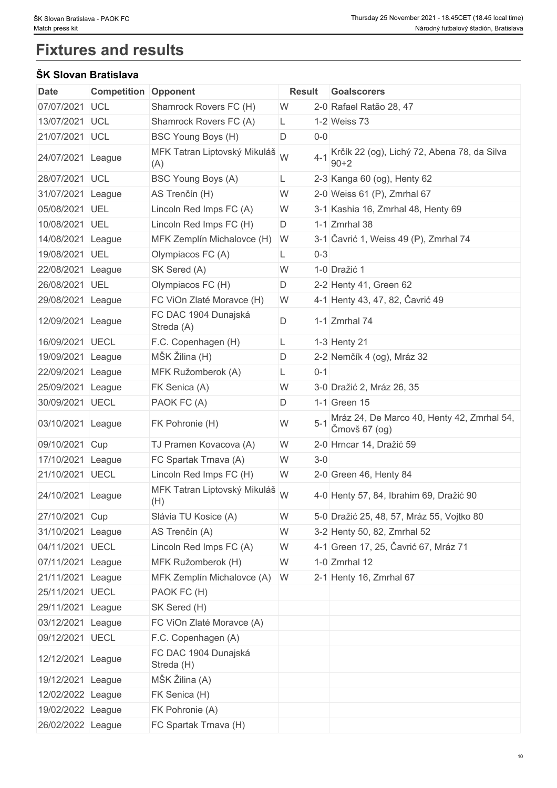# **Fixtures and results**

## **ŠK Slovan Bratislava**

| Date              | <b>Competition</b> | Opponent                            | <b>Result</b> | Goalscorers                                                 |
|-------------------|--------------------|-------------------------------------|---------------|-------------------------------------------------------------|
| 07/07/2021 UCL    |                    | Shamrock Rovers FC (H)              | W             | 2-0 Rafael Ratão 28, 47                                     |
| 13/07/2021        | UCL                | Shamrock Rovers FC (A)              | L             | 1-2 Weiss 73                                                |
| 21/07/2021 UCL    |                    | BSC Young Boys (H)                  | D<br>$0-0$    |                                                             |
| 24/07/2021 League |                    | MFK Tatran Liptovský Mikuláš<br>(A) | W<br>$4 - 1$  | Krčík 22 (og), Lichý 72, Abena 78, da Silva<br>$90 + 2$     |
| 28/07/2021 UCL    |                    | BSC Young Boys (A)                  | L             | 2-3 Kanga 60 (og), Henty 62                                 |
| 31/07/2021        | League             | AS Trenčín (H)                      | W             | 2-0 Weiss 61 (P), Zmrhal 67                                 |
| 05/08/2021 UEL    |                    | Lincoln Red Imps FC (A)             | W             | 3-1 Kashia 16, Zmrhal 48, Henty 69                          |
| 10/08/2021 UEL    |                    | Lincoln Red Imps FC (H)             | D             | 1-1 $Zm$ rhal 38                                            |
| 14/08/2021        | League             | MFK Zemplín Michalovce (H) W        |               | 3-1 Čavrić 1, Weiss 49 (P), Zmrhal 74                       |
| 19/08/2021 UEL    |                    | Olympiacos FC (A)                   | $0 - 3$<br>L  |                                                             |
| 22/08/2021        | League             | SK Sered (A)                        | W             | 1-0 Dražić 1                                                |
| 26/08/2021        | UEL                | Olympiacos FC (H)                   | D             | 2-2 Henty 41, Green 62                                      |
| 29/08/2021        | League             | FC ViOn Zlaté Moravce (H)           | W             | 4-1 Henty 43, 47, 82, Čavrić 49                             |
| 12/09/2021 League |                    | FC DAC 1904 Dunajská<br>Streda (A)  | D             | 1-1 Zmrhal 74                                               |
| 16/09/2021 UECL   |                    | F.C. Copenhagen (H)                 | L.            | 1-3 Henty 21                                                |
| 19/09/2021        | League             | MŠK Žilina (H)                      | D             | 2-2 Nemčík 4 (og), Mráz 32                                  |
| 22/09/2021        | League             | MFK Ružomberok (A)                  | $0 - 1$<br>L  |                                                             |
| 25/09/2021        | League             | FK Senica (A)                       | W             | 3-0 Dražić 2, Mráz 26, 35                                   |
| 30/09/2021        | <b>UECL</b>        | PAOK FC (A)                         | D             | 1-1 Green 15                                                |
| 03/10/2021        | League             | FK Pohronie (H)                     | W             | Mráz 24, De Marco 40, Henty 42, Zmrhal 54,<br>Čmovš 67 (og) |
| 09/10/2021 Cup    |                    | TJ Pramen Kovacova (A)              | W             | 2-0 Hrncar 14, Dražić 59                                    |
| 17/10/2021 League |                    | FC Spartak Trnava (A)               | W<br>$3-0$    |                                                             |
| 21/10/2021 UECL   |                    | Lincoln Red Imps FC (H)             | W             | 2-0 Green 46, Henty 84                                      |
| 24/10/2021 League |                    | MFK Tatran Liptovský Mikuláš<br>(H) |               | 4-0 Henty 57, 84, Ibrahim 69, Dražić 90                     |
| 27/10/2021 Cup    |                    | Slávia TU Kosice (A)                | W             | 5-0 Dražić 25, 48, 57, Mráz 55, Vojtko 80                   |
| 31/10/2021 League |                    | AS Trenčín (A)                      | W             | 3-2 Henty 50, 82, Zmrhal 52                                 |
| 04/11/2021 UECL   |                    | Lincoln Red Imps FC (A)             | W             | 4-1 Green 17, 25, Čavrić 67, Mráz 71                        |
| 07/11/2021 League |                    | MFK Ružomberok (H)                  | W             | $1-0$ Zmrhal 12                                             |
| 21/11/2021 League |                    | MFK Zemplín Michalovce (A) W        |               | 2-1 Henty 16, Zmrhal 67                                     |
| 25/11/2021 UECL   |                    | PAOK FC (H)                         |               |                                                             |
| 29/11/2021 League |                    | SK Sered (H)                        |               |                                                             |
| 03/12/2021 League |                    | FC ViOn Zlaté Moravce (A)           |               |                                                             |
| 09/12/2021 UECL   |                    | F.C. Copenhagen (A)                 |               |                                                             |
| 12/12/2021 League |                    | FC DAC 1904 Dunajská<br>Streda (H)  |               |                                                             |
| 19/12/2021 League |                    | MŠK Žilina (A)                      |               |                                                             |
| 12/02/2022 League |                    | FK Senica (H)                       |               |                                                             |
| 19/02/2022 League |                    | FK Pohronie (A)                     |               |                                                             |
| 26/02/2022 League |                    | FC Spartak Trnava (H)               |               |                                                             |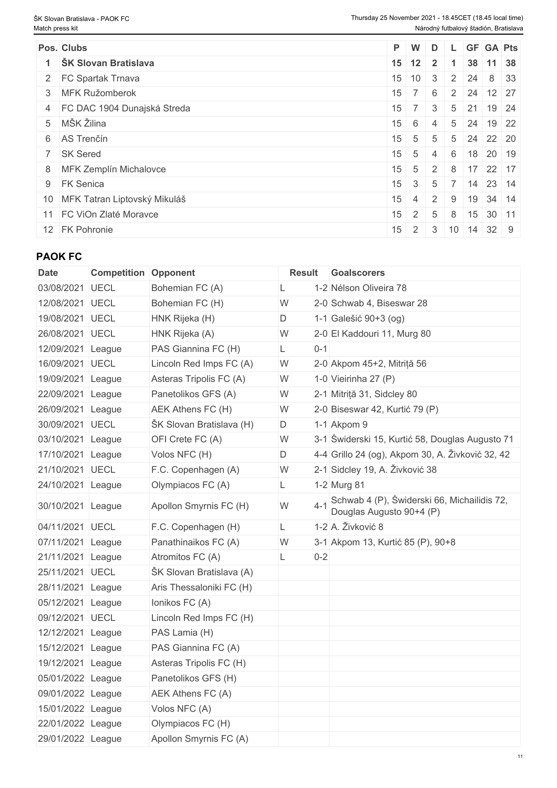| Pos. Clubs                      |    | P W                 | D                 |     |              |                                           | L GF GA Pts                                       |
|---------------------------------|----|---------------------|-------------------|-----|--------------|-------------------------------------------|---------------------------------------------------|
| ŠK Slovan Bratislava            |    | $15 \mid 12 \mid 2$ |                   |     |              |                                           | 38 11 38                                          |
| 2 FC Spartak Trnava             |    |                     |                   |     |              |                                           | $15 \mid 10 \mid 3 \mid 2 \mid 24 \mid 8 \mid 33$ |
| 3 MFK Ružomberok                | 15 | 7 6                 |                   |     |              | 2 24 12 27                                |                                                   |
| 4 FC DAC 1904 Dunajská Streda   | 15 |                     | 3                 |     | $5 \quad 21$ |                                           | 19 24                                             |
| 5 MŠK Žilina                    | 15 | -6                  | 4                 |     |              |                                           | 5 24 19 22                                        |
| 6 AS Trenčín                    | 15 | 5 <sub>1</sub>      | 5                 |     |              |                                           | 5 24 22 20                                        |
| 7 SK Sered                      | 15 | 5                   | 4                 | 6   |              |                                           | 18 20 19                                          |
| 8 MFK Zemplín Michalovce        | 15 |                     |                   |     |              | $5 \t2 \t8 \t17 \t22 \t17$                |                                                   |
| 9 FK Senica                     |    | $15 \quad 3$        | - 5               |     |              |                                           | $\mid$ 7   14   23   14                           |
| 10 MFK Tatran Liptovský Mikuláš | 15 |                     | $4 \mid 2 \mid 9$ |     |              |                                           | 19 34 14                                          |
| 11 FC ViOn Zlaté Moravce        | 15 | 2 <sup>1</sup>      | -5                | - 8 |              | $15$ 30 11                                |                                                   |
| 12 FK Pohronie                  | 15 |                     |                   |     |              | $2 \mid 3 \mid 10 \mid 14 \mid 32 \mid 9$ |                                                   |

## **PAOK FC**

| <b>Date</b>       | <b>Competition Opponent</b> |                          | <b>Result</b> |         | Goalscorers                                                             |
|-------------------|-----------------------------|--------------------------|---------------|---------|-------------------------------------------------------------------------|
| 03/08/2021        | UECL                        | Bohemian FC (A)          |               |         | 1-2 Nélson Oliveira 78                                                  |
| 12/08/2021 UECL   |                             | Bohemian FC (H)          | W             |         | 2-0 Schwab 4, Biseswar 28                                               |
| 19/08/2021 UECL   |                             | HNK Rijeka (H)           | D             |         | 1-1 Galešić 90+3 (og)                                                   |
| 26/08/2021 UECL   |                             | HNK Rijeka (A)           | W             |         | 2-0 El Kaddouri 11, Murg 80                                             |
| 12/09/2021 League |                             | PAS Giannina FC (H)      | L             | $0 - 1$ |                                                                         |
| 16/09/2021 UECL   |                             | Lincoln Red Imps FC (A)  | W             |         | 2-0 Akpom 45+2, Mitriță 56                                              |
| 19/09/2021 League |                             | Asteras Tripolis FC (A)  | W             |         | 1-0 Vieirinha 27 $(P)$                                                  |
| 22/09/2021 League |                             | Panetolikos GFS (A)      | W             |         | 2-1 Mitriță 31, Sidcley 80                                              |
| 26/09/2021 League |                             | <b>AEK Athens FC (H)</b> | W             |         | 2-0 Biseswar 42, Kurtić 79 (P)                                          |
| 30/09/2021 UECL   |                             | ŠK Slovan Bratislava (H) | D             |         | 1-1 Akpom 9                                                             |
| 03/10/2021 League |                             | OFI Crete FC (A)         | W             |         | 3-1 Świderski 15, Kurtić 58, Douglas Augusto 71                         |
| 17/10/2021 League |                             | Volos NFC (H)            | D             |         | 4-4 Grillo 24 (og), Akpom 30, A. Živković 32, 42                        |
| 21/10/2021 UECL   |                             | F.C. Copenhagen (A)      | W             |         | 2-1 Sidcley 19, A. Živković 38                                          |
| 24/10/2021 League |                             | Olympiacos FC (A)        | L             |         | 1-2 Murg 81                                                             |
| 30/10/2021 League |                             | Apollon Smyrnis FC (H)   | W             | $4 - 1$ | Schwab 4 (P), Świderski 66, Michailidis 72,<br>Douglas Augusto 90+4 (P) |
| 04/11/2021 UECL   |                             | F.C. Copenhagen (H)      | L             |         | 1-2 A. Živković 8                                                       |
| 07/11/2021 League |                             | Panathinaikos FC (A)     | W             |         | 3-1 Akpom 13, Kurtić 85 (P), 90+8                                       |
| 21/11/2021 League |                             | Atromitos FC (A)         | L.            | $0 - 2$ |                                                                         |
| 25/11/2021 UECL   |                             | ŠK Slovan Bratislava (A) |               |         |                                                                         |
| 28/11/2021 League |                             | Aris Thessaloniki FC (H) |               |         |                                                                         |
| 05/12/2021 League |                             | Ionikos FC (A)           |               |         |                                                                         |
| 09/12/2021 UECL   |                             | Lincoln Red Imps FC (H)  |               |         |                                                                         |
| 12/12/2021 League |                             | PAS Lamia (H)            |               |         |                                                                         |
| 15/12/2021 League |                             | PAS Giannina FC (A)      |               |         |                                                                         |
| 19/12/2021 League |                             | Asteras Tripolis FC (H)  |               |         |                                                                         |
| 05/01/2022 League |                             | Panetolikos GFS (H)      |               |         |                                                                         |
| 09/01/2022 League |                             | AEK Athens FC (A)        |               |         |                                                                         |
| 15/01/2022 League |                             | Volos NFC (A)            |               |         |                                                                         |
| 22/01/2022 League |                             | Olympiacos FC (H)        |               |         |                                                                         |
| 29/01/2022 League |                             | Apollon Smyrnis FC (A)   |               |         |                                                                         |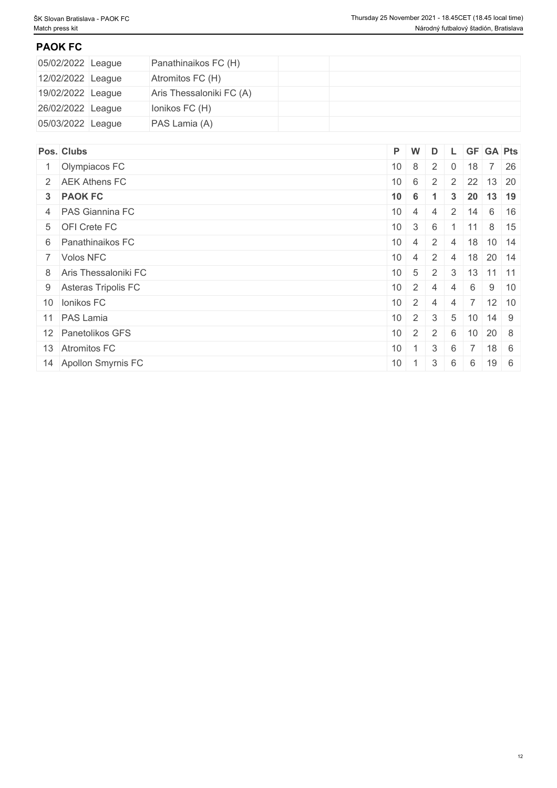## **PAOK FC**

| 05/02/2022 League | Panathinaikos FC (H)     |  |  |  |  |
|-------------------|--------------------------|--|--|--|--|
| 12/02/2022 League | Atromitos FC (H)         |  |  |  |  |
| 19/02/2022 League | Aris Thessaloniki FC (A) |  |  |  |  |
| 26/02/2022 League | lonikos FC (H)           |  |  |  |  |
| 05/03/2022 League | PAS Lamia (A)            |  |  |  |  |

| Pos. Clubs             |                 | P W                          | D               |                |             | L GF GA Pts                                       |             |
|------------------------|-----------------|------------------------------|-----------------|----------------|-------------|---------------------------------------------------|-------------|
| 1 Olympiacos FC        |                 | $10 \quad 8 \quad 2$         |                 |                | $0 \mid 18$ |                                                   | 7 26        |
| 2 AEK Athens FC        |                 |                              |                 |                |             | $10 \mid 6 \mid 2 \mid 2 \mid 22 \mid 13 \mid 20$ |             |
| 3 PAOK FC              | $10 \quad 6$    |                              | $\blacksquare$  | 3 <sup>1</sup> |             | 20 13 19                                          |             |
| 4 PAS Giannina FC      |                 | $10 \quad 4 \quad 4$         |                 |                |             | $2 \mid 14 \mid 6 \mid 16$                        |             |
| 5 OFI Crete FC         | 10              | 3 <sup>1</sup>               | 6               |                | 11          | 8 15                                              |             |
| 6 Panathinaikos FC     |                 | $10 \mid 4 \mid$             | $\frac{1}{2}$   | 4              |             | $18$ 10 14                                        |             |
| 7 Volos NFC            | 10 <sup>1</sup> | $\vert 4 \vert$              | $\overline{2}$  | 4              |             | $18$ 20 14                                        |             |
| 8 Aris Thessaloniki FC | $10 \mid 5$     |                              | 2               | 3              |             | $13$ 11 11                                        |             |
| 9 Asteras Tripolis FC  |                 | $10 \mid 2 \mid$             | 4               | 4              | 6           |                                                   | $9 \mid 10$ |
| 10 Ionikos FC          |                 | $10 \mid 2 \mid$             | -4              | 4              |             |                                                   |             |
| 11 PAS Lamia           |                 | $10 \mid 2 \mid 3$           |                 |                |             | 5   10   14   9                                   |             |
| 12 Panetolikos GFS     |                 | $10 \quad 2 \quad 2 \quad 6$ |                 |                |             | $10 \ 20 \ 8$                                     |             |
| 13 Atromitos FC        | 10 <sup>°</sup> | - 1                          | $3\overline{3}$ | 6              |             | $7 \mid 18 \mid 6$                                |             |
| 14 Apollon Smyrnis FC  | 10              | $\overline{1}$               | 3               | 6              | 6           | $19 \mid 6$                                       |             |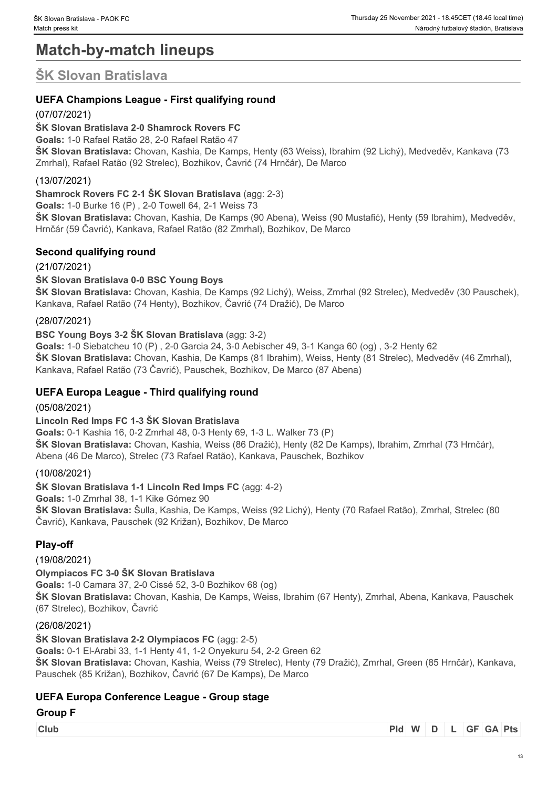# **Match-by-match lineups**

# **ŠK Slovan Bratislava**

## **UEFA Champions League - First qualifying round**

## (07/07/2021)

## **ŠK Slovan Bratislava 2-0 Shamrock Rovers FC**

**Goals:** 1-0 Rafael Ratão 28, 2-0 Rafael Ratão 47

**ŠK Slovan Bratislava:** Chovan, Kashia, De Kamps, Henty (63 Weiss), Ibrahim (92 Lichý), Medveděv, Kankava (73 Zmrhal), Rafael Ratão (92 Strelec), Bozhikov, Čavrić (74 Hrnčár), De Marco

## (13/07/2021)

**Shamrock Rovers FC 2-1 ŠK Slovan Bratislava** (agg: 2-3)

**Goals:** 1-0 Burke 16 (P) , 2-0 Towell 64, 2-1 Weiss 73

**ŠK Slovan Bratislava:** Chovan, Kashia, De Kamps (90 Abena), Weiss (90 Mustafić), Henty (59 Ibrahim), Medveděv, Hrnčár (59 Čavrić), Kankava, Rafael Ratão (82 Zmrhal), Bozhikov, De Marco

## **Second qualifying round**

## (21/07/2021)

## **ŠK Slovan Bratislava 0-0 BSC Young Boys**

**ŠK Slovan Bratislava:** Chovan, Kashia, De Kamps (92 Lichý), Weiss, Zmrhal (92 Strelec), Medveděv (30 Pauschek), Kankava, Rafael Ratão (74 Henty), Bozhikov, Čavrić (74 Dražić), De Marco

## (28/07/2021)

## **BSC Young Boys 3-2 ŠK Slovan Bratislava** (agg: 3-2)

**Goals:** 1-0 Siebatcheu 10 (P) , 2-0 Garcia 24, 3-0 Aebischer 49, 3-1 Kanga 60 (og) , 3-2 Henty 62 **ŠK Slovan Bratislava:** Chovan, Kashia, De Kamps (81 Ibrahim), Weiss, Henty (81 Strelec), Medveděv (46 Zmrhal), Kankava, Rafael Ratão (73 Čavrić), Pauschek, Bozhikov, De Marco (87 Abena)

## **UEFA Europa League - Third qualifying round**

(05/08/2021)

## **Lincoln Red Imps FC 1-3 ŠK Slovan Bratislava**

**Goals:** 0-1 Kashia 16, 0-2 Zmrhal 48, 0-3 Henty 69, 1-3 L. Walker 73 (P) **ŠK Slovan Bratislava:** Chovan, Kashia, Weiss (86 Dražić), Henty (82 De Kamps), Ibrahim, Zmrhal (73 Hrnčár), Abena (46 De Marco), Strelec (73 Rafael Ratão), Kankava, Pauschek, Bozhikov

## (10/08/2021)

**ŠK Slovan Bratislava 1-1 Lincoln Red Imps FC** (agg: 4-2)

**Goals:** 1-0 Zmrhal 38, 1-1 Kike Gómez 90

**ŠK Slovan Bratislava:** Šulla, Kashia, De Kamps, Weiss (92 Lichý), Henty (70 Rafael Ratão), Zmrhal, Strelec (80 Čavrić), Kankava, Pauschek (92 Križan), Bozhikov, De Marco

## **Play-off**

## (19/08/2021)

**Olympiacos FC 3-0 ŠK Slovan Bratislava**

**Goals:** 1-0 Camara 37, 2-0 Cissé 52, 3-0 Bozhikov 68 (og)

**ŠK Slovan Bratislava:** Chovan, Kashia, De Kamps, Weiss, Ibrahim (67 Henty), Zmrhal, Abena, Kankava, Pauschek (67 Strelec), Bozhikov, Čavrić

## (26/08/2021)

**ŠK Slovan Bratislava 2-2 Olympiacos FC** (agg: 2-5) **Goals:** 0-1 El-Arabi 33, 1-1 Henty 41, 1-2 Onyekuru 54, 2-2 Green 62 **ŠK Slovan Bratislava:** Chovan, Kashia, Weiss (79 Strelec), Henty (79 Dražić), Zmrhal, Green (85 Hrnčár), Kankava, Pauschek (85 Križan), Bozhikov, Čavrić (67 De Kamps), De Marco

## **UEFA Europa Conference League - Group stage**

## **Group F**

**Club Pld W D L GF GA Pts**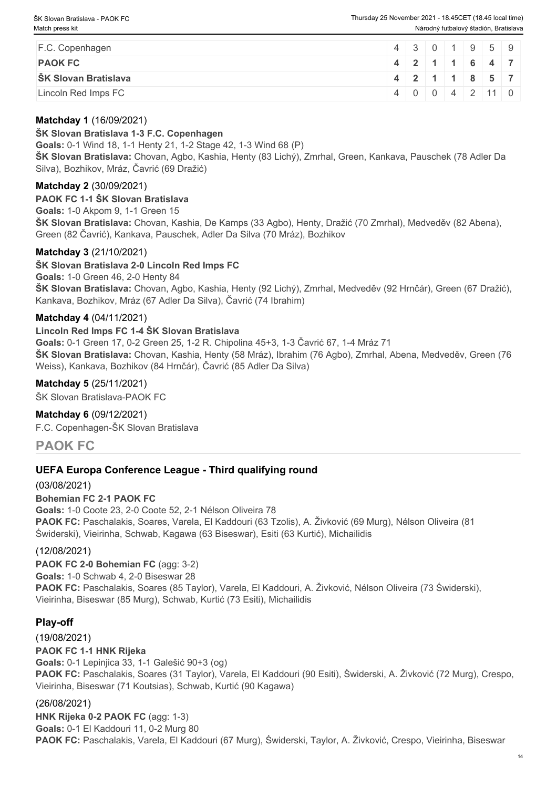| F.C. Copenhagen             |               |  |  | 4 3 0 1 9 5 9  |  |
|-----------------------------|---------------|--|--|----------------|--|
| <b>PAOK FC</b>              | 4 2 1 1 6 4 7 |  |  |                |  |
| <b>SK Slovan Bratislava</b> |               |  |  | 4 2 1 1 8 5 7  |  |
| Lincoln Red Imps FC         |               |  |  | 4 0 0 4 2 11 0 |  |

## **Matchday 1** (16/09/2021)

### **ŠK Slovan Bratislava 1-3 F.C. Copenhagen**

**Goals:** 0-1 Wind 18, 1-1 Henty 21, 1-2 Stage 42, 1-3 Wind 68 (P)

**ŠK Slovan Bratislava:** Chovan, Agbo, Kashia, Henty (83 Lichý), Zmrhal, Green, Kankava, Pauschek (78 Adler Da Silva), Bozhikov, Mráz, Čavrić (69 Dražić)

#### **Matchday 2** (30/09/2021)

**PAOK FC 1-1 ŠK Slovan Bratislava Goals:** 1-0 Akpom 9, 1-1 Green 15 **ŠK Slovan Bratislava:** Chovan, Kashia, De Kamps (33 Agbo), Henty, Dražić (70 Zmrhal), Medveděv (82 Abena), Green (82 Čavrić), Kankava, Pauschek, Adler Da Silva (70 Mráz), Bozhikov

### **Matchday 3** (21/10/2021)

**ŠK Slovan Bratislava 2-0 Lincoln Red Imps FC Goals:** 1-0 Green 46, 2-0 Henty 84 **ŠK Slovan Bratislava:** Chovan, Agbo, Kashia, Henty (92 Lichý), Zmrhal, Medveděv (92 Hrnčár), Green (67 Dražić), Kankava, Bozhikov, Mráz (67 Adler Da Silva), Čavrić (74 Ibrahim)

### **Matchday 4** (04/11/2021)

#### **Lincoln Red Imps FC 1-4 ŠK Slovan Bratislava**

**Goals:** 0-1 Green 17, 0-2 Green 25, 1-2 R. Chipolina 45+3, 1-3 Čavrić 67, 1-4 Mráz 71 **ŠK Slovan Bratislava:** Chovan, Kashia, Henty (58 Mráz), Ibrahim (76 Agbo), Zmrhal, Abena, Medveděv, Green (76 Weiss), Kankava, Bozhikov (84 Hrnčár), Čavrić (85 Adler Da Silva)

### **Matchday 5** (25/11/2021)

ŠK Slovan Bratislava-PAOK FC

#### **Matchday 6** (09/12/2021)

F.C. Copenhagen-ŠK Slovan Bratislava

## **PAOK FC**

## **UEFA Europa Conference League - Third qualifying round**

(03/08/2021) **Bohemian FC 2-1 PAOK FC Goals:** 1-0 Coote 23, 2-0 Coote 52, 2-1 Nélson Oliveira 78 **PAOK FC:** Paschalakis, Soares, Varela, El Kaddouri (63 Tzolis), A. Živković (69 Murg), Nélson Oliveira (81 Świderski), Vieirinha, Schwab, Kagawa (63 Biseswar), Esiti (63 Kurtić), Michailidis

#### (12/08/2021)

**PAOK FC 2-0 Bohemian FC** (agg: 3-2) **Goals:** 1-0 Schwab 4, 2-0 Biseswar 28 **PAOK FC:** Paschalakis, Soares (85 Taylor), Varela, El Kaddouri, A. Živković, Nélson Oliveira (73 Świderski), Vieirinha, Biseswar (85 Murg), Schwab, Kurtić (73 Esiti), Michailidis

## **Play-off**

(19/08/2021) **PAOK FC 1-1 HNK Rijeka Goals:** 0-1 Lepinjica 33, 1-1 Galešić 90+3 (og) **PAOK FC:** Paschalakis, Soares (31 Taylor), Varela, El Kaddouri (90 Esiti), Świderski, A. Živković (72 Murg), Crespo, Vieirinha, Biseswar (71 Koutsias), Schwab, Kurtić (90 Kagawa)

#### (26/08/2021)

**HNK Rijeka 0-2 PAOK FC** (agg: 1-3) **Goals:** 0-1 El Kaddouri 11, 0-2 Murg 80 **PAOK FC:** Paschalakis, Varela, El Kaddouri (67 Murg), Świderski, Taylor, A. Živković, Crespo, Vieirinha, Biseswar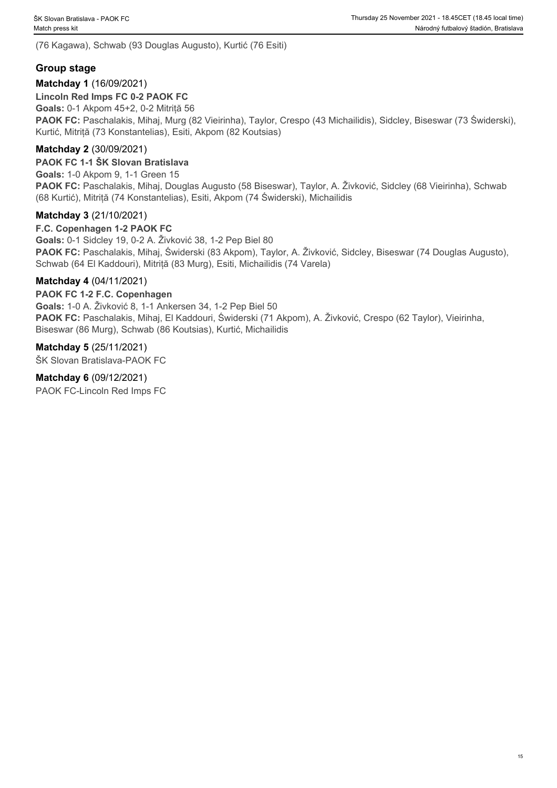(76 Kagawa), Schwab (93 Douglas Augusto), Kurtić (76 Esiti)

## **Group stage**

## **Matchday 1** (16/09/2021)

**Lincoln Red Imps FC 0-2 PAOK FC Goals:** 0-1 Akpom 45+2, 0-2 Mitriță 56 **PAOK FC:** Paschalakis, Mihaj, Murg (82 Vieirinha), Taylor, Crespo (43 Michailidis), Sidcley, Biseswar (73 Świderski), Kurtić, Mitriță (73 Konstantelias), Esiti, Akpom (82 Koutsias)

## **Matchday 2** (30/09/2021)

**PAOK FC 1-1 ŠK Slovan Bratislava Goals:** 1-0 Akpom 9, 1-1 Green 15 PAOK FC: Paschalakis, Mihaj, Douglas Augusto (58 Biseswar), Taylor, A. Živković, Sidcley (68 Vieirinha), Schwab (68 Kurtić), Mitriță (74 Konstantelias), Esiti, Akpom (74 Świderski), Michailidis

## **Matchday 3** (21/10/2021)

**F.C. Copenhagen 1-2 PAOK FC Goals:** 0-1 Sidcley 19, 0-2 A. Živković 38, 1-2 Pep Biel 80 **PAOK FC:** Paschalakis, Mihaj, Świderski (83 Akpom), Taylor, A. Živković, Sidcley, Biseswar (74 Douglas Augusto), Schwab (64 El Kaddouri), Mitriță (83 Murg), Esiti, Michailidis (74 Varela)

### **Matchday 4** (04/11/2021)

### **PAOK FC 1-2 F.C. Copenhagen**

**Goals:** 1-0 A. Živković 8, 1-1 Ankersen 34, 1-2 Pep Biel 50 **PAOK FC:** Paschalakis, Mihaj, El Kaddouri, Świderski (71 Akpom), A. Živković, Crespo (62 Taylor), Vieirinha, Biseswar (86 Murg), Schwab (86 Koutsias), Kurtić, Michailidis

**Matchday 5** (25/11/2021)

ŠK Slovan Bratislava-PAOK FC

**Matchday 6** (09/12/2021) PAOK FC-Lincoln Red Imps FC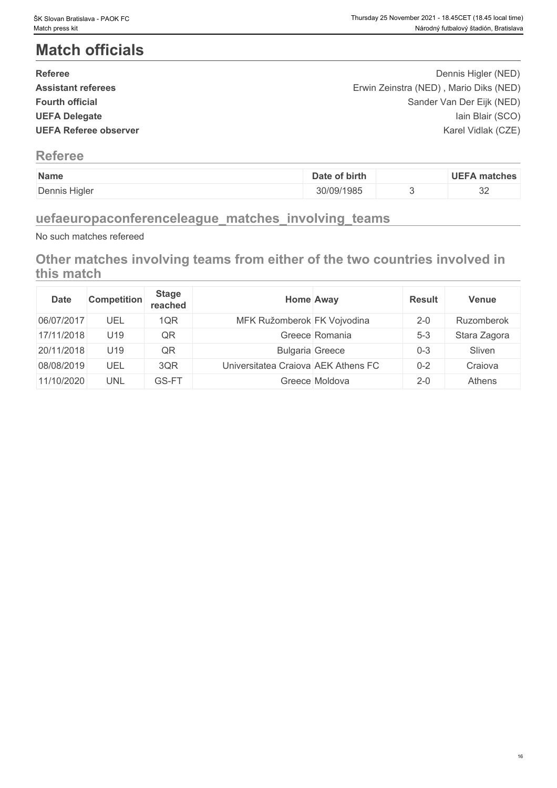# **Match officials**

| <b>Referee</b>               | Dennis Higler (NED)                    |  |
|------------------------------|----------------------------------------|--|
| <b>Assistant referees</b>    | Erwin Zeinstra (NED), Mario Diks (NED) |  |
| <b>Fourth official</b>       | Sander Van Der Eijk (NED)              |  |
| <b>UEFA Delegate</b>         | lain Blair (SCO)                       |  |
| <b>UEFA Referee observer</b> | Karel Vidlak (CZE)                     |  |
|                              |                                        |  |

## **Referee**

| Name          | of birth<br>Date | <b>UEFA matches</b> |
|---------------|------------------|---------------------|
| Dennis Higler | 30/09/1985       | $\cap$<br>◡▵        |

## **uefaeuropaconferenceleague\_matches\_involving\_teams**

No such matches refereed

**Other matches involving teams from either of the two countries involved in this match**

| <b>Date</b> | <b>Competition</b> | <b>Stage</b><br>reached | <b>Home Away</b>                    |                | <b>Result</b> | <b>Venue</b> |
|-------------|--------------------|-------------------------|-------------------------------------|----------------|---------------|--------------|
| 06/07/2017  | UEL                | 1QR                     | MFK Ružomberok FK Vojvodina         |                | $2 - 0$       | Ruzomberok   |
| 17/11/2018  | U <sub>19</sub>    | QR                      |                                     | Greece Romania | $5 - 3$       | Stara Zagora |
| 20/11/2018  | U19                | QR                      | <b>Bulgaria Greece</b>              |                | $0 - 3$       | Sliven       |
| 08/08/2019  | UEL                | 3QR                     | Universitatea Craiova AEK Athens FC |                | $0 - 2$       | Craiova      |
| 11/10/2020  | UNL                | GS-FT                   |                                     | Greece Moldova | $2 - 0$       | Athens       |